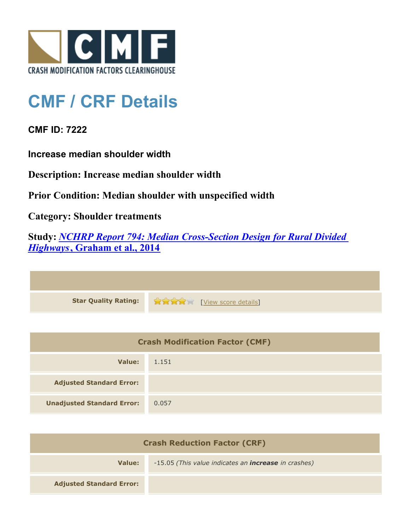

## **CMF / CRF Details**

**CMF ID: 7222**

**Increase median shoulder width**

**Description: Increase median shoulder width**

**Prior Condition: Median shoulder with unspecified width**

**Category: Shoulder treatments**

**Study:** *[NCHRP Report 794: Median Cross-Section Design for Rural Divided](http://www.cmfclearinghouse.org/study_detail.cfm?stid=420) [Highways](http://www.cmfclearinghouse.org/study_detail.cfm?stid=420)***[, Graham et al., 2014](http://www.cmfclearinghouse.org/study_detail.cfm?stid=420)**

**Star Quality Rating:**  $\mathbf{r} = \mathbf{r} + \mathbf{r}$ 

| <b>Crash Modification Factor (CMF)</b> |       |  |
|----------------------------------------|-------|--|
| Value:                                 | 1.151 |  |
| <b>Adjusted Standard Error:</b>        |       |  |
| <b>Unadjusted Standard Error:</b>      | 0.057 |  |

| <b>Crash Reduction Factor (CRF)</b> |                                                             |
|-------------------------------------|-------------------------------------------------------------|
| Value:                              | -15.05 (This value indicates an <b>increase</b> in crashes) |
| <b>Adjusted Standard Error:</b>     |                                                             |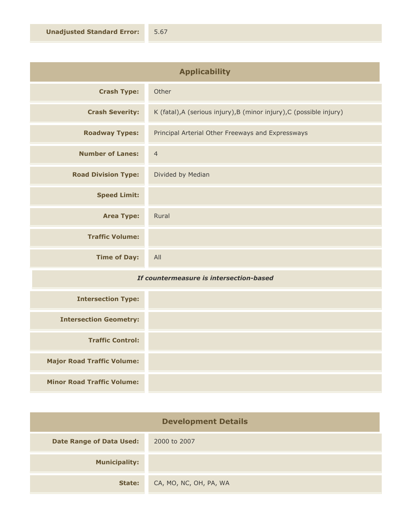| <b>Applicability</b>       |                                                                      |
|----------------------------|----------------------------------------------------------------------|
| <b>Crash Type:</b>         | Other                                                                |
| <b>Crash Severity:</b>     | K (fatal), A (serious injury), B (minor injury), C (possible injury) |
| <b>Roadway Types:</b>      | Principal Arterial Other Freeways and Expressways                    |
| <b>Number of Lanes:</b>    | $\overline{4}$                                                       |
| <b>Road Division Type:</b> | Divided by Median                                                    |
| <b>Speed Limit:</b>        |                                                                      |
| <b>Area Type:</b>          | Rural                                                                |
| <b>Traffic Volume:</b>     |                                                                      |
| <b>Time of Day:</b>        | All                                                                  |

## *If countermeasure is intersection-based*

| <b>Intersection Type:</b>         |  |
|-----------------------------------|--|
| <b>Intersection Geometry:</b>     |  |
| <b>Traffic Control:</b>           |  |
| <b>Major Road Traffic Volume:</b> |  |
| <b>Minor Road Traffic Volume:</b> |  |

| <b>Development Details</b>      |                        |
|---------------------------------|------------------------|
| <b>Date Range of Data Used:</b> | 2000 to 2007           |
| <b>Municipality:</b>            |                        |
| State:                          | CA, MO, NC, OH, PA, WA |